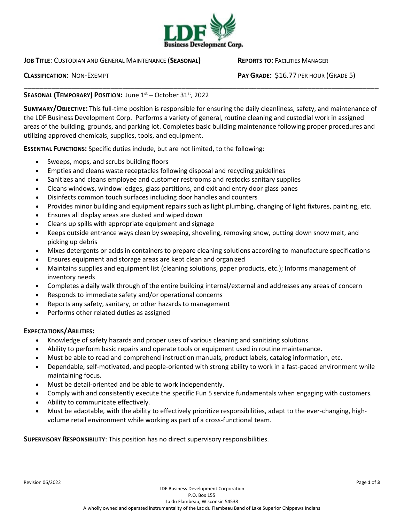

**JOB TITLE**: CUSTODIAN AND GENERAL MAINTENANCE (**SEASONAL) REPORTS TO:** FACILITIES MANAGER

**CLASSIFICATION:** NON-EXEMPT **PAY GRADE:** \$16.77 PER HOUR (GRADE 5)

## **SEASONAL (TEMPORARY) POSITION:** June 1st - October 31st, 2022

**SUMMARY/OBJECTIVE:** This full-time position is responsible for ensuring the daily cleanliness, safety, and maintenance of the LDF Business Development Corp. Performs a variety of general, routine cleaning and custodial work in assigned areas of the building, grounds, and parking lot. Completes basic building maintenance following proper procedures and utilizing approved chemicals, supplies, tools, and equipment.

\_\_\_\_\_\_\_\_\_\_\_\_\_\_\_\_\_\_\_\_\_\_\_\_\_\_\_\_\_\_\_\_\_\_\_\_\_\_\_\_\_\_\_\_\_\_\_\_\_\_\_\_\_\_\_\_\_\_\_\_\_\_\_\_\_\_\_\_\_\_\_\_\_\_\_\_\_\_\_\_\_\_\_\_\_\_\_\_\_\_

**ESSENTIAL FUNCTIONS:** Specific duties include, but are not limited, to the following:

- Sweeps, mops, and scrubs building floors
- Empties and cleans waste receptacles following disposal and recycling guidelines
- x Sanitizes and cleans employee and customer restrooms and restocks sanitary supplies
- Cleans windows, window ledges, glass partitions, and exit and entry door glass panes
- Disinfects common touch surfaces including door handles and counters
- Provides minor building and equipment repairs such as light plumbing, changing of light fixtures, painting, etc.
- Ensures all display areas are dusted and wiped down
- Cleans up spills with appropriate equipment and signage
- x Keeps outside entrance ways clean by sweeping, shoveling, removing snow, putting down snow melt, and picking up debris
- x Mixes detergents or acids in containers to prepare cleaning solutions according to manufacture specifications
- x Ensures equipment and storage areas are kept clean and organized
- Maintains supplies and equipment list (cleaning solutions, paper products, etc.); Informs management of inventory needs
- Completes a daily walk through of the entire building internal/external and addresses any areas of concern
- Responds to immediate safety and/or operational concerns
- Reports any safety, sanitary, or other hazards to management
- Performs other related duties as assigned

## **EXPECTATIONS/ABILITIES:**

- x Knowledge of safety hazards and proper uses of various cleaning and sanitizing solutions.
- Ability to perform basic repairs and operate tools or equipment used in routine maintenance.
- Must be able to read and comprehend instruction manuals, product labels, catalog information, etc.
- Dependable, self-motivated, and people-oriented with strong ability to work in a fast-paced environment while maintaining focus.
- Must be detail-oriented and be able to work independently.
- Comply with and consistently execute the specific Fun 5 service fundamentals when engaging with customers.
- Ability to communicate effectively.
- Must be adaptable, with the ability to effectively prioritize responsibilities, adapt to the ever-changing, highvolume retail environment while working as part of a cross-functional team.

**SUPERVISORY RESPONSIBILITY**: This position has no direct supervisory responsibilities.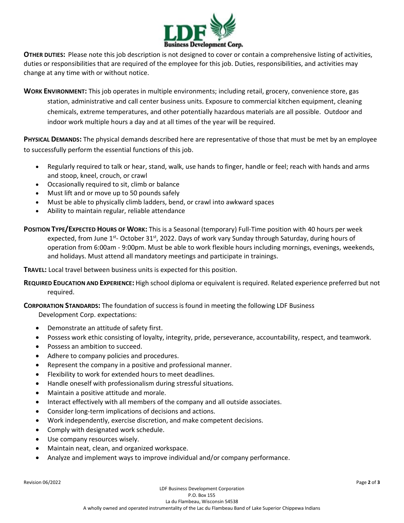

**OTHER DUTIES:** Please note this job description is not designed to cover or contain a comprehensive listing of activities, duties or responsibilities that are required of the employee for this job. Duties, responsibilities, and activities may change at any time with or without notice.

**WORK ENVIRONMENT:** This job operates in multiple environments; including retail, grocery, convenience store, gas station, administrative and call center business units. Exposure to commercial kitchen equipment, cleaning chemicals, extreme temperatures, and other potentially hazardous materials are all possible. Outdoor and indoor work multiple hours a day and at all times of the year will be required.

**PHYSICAL DEMANDS:** The physical demands described here are representative of those that must be met by an employee to successfully perform the essential functions of this job.

- Regularly required to talk or hear, stand, walk, use hands to finger, handle or feel; reach with hands and arms and stoop, kneel, crouch, or crawl
- Occasionally required to sit, climb or balance
- Must lift and or move up to 50 pounds safely
- x Must be able to physically climb ladders, bend, or crawl into awkward spaces
- Ability to maintain regular, reliable attendance

**POSITION TYPE/EXPECTED HOURS OF WORK:** This is a Seasonal (temporary) Full-Time position with 40 hours per week expected, from June 1<sup>st</sup>- October 31<sup>st</sup>, 2022. Days of work vary Sunday through Saturday, during hours of operation from 6:00am - 9:00pm. Must be able to work flexible hours including mornings, evenings, weekends, and holidays. Must attend all mandatory meetings and participate in trainings.

**TRAVEL:** Local travel between business units is expected for this position.

**REQUIRED EDUCATION AND EXPERIENCE:** High school diploma or equivalent is required. Related experience preferred but not required.

**CORPORATION STANDARDS:** The foundation of success is found in meeting the following LDF Business

Development Corp. expectations:

- Demonstrate an attitude of safety first.
- x Possess work ethic consisting of loyalty, integrity, pride, perseverance, accountability, respect, and teamwork.
- Possess an ambition to succeed.
- Adhere to company policies and procedures.
- Represent the company in a positive and professional manner.
- Flexibility to work for extended hours to meet deadlines.
- Handle oneself with professionalism during stressful situations.
- Maintain a positive attitude and morale.
- Interact effectively with all members of the company and all outside associates.
- Consider long-term implications of decisions and actions.
- Work independently, exercise discretion, and make competent decisions.
- Comply with designated work schedule.
- Use company resources wisely.
- Maintain neat, clean, and organized workspace.
- Analyze and implement ways to improve individual and/or company performance.